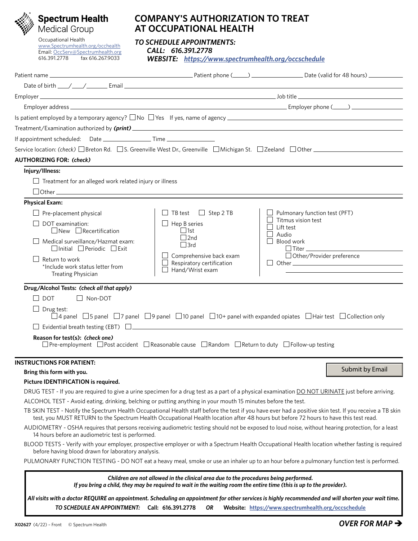

# **Spectrum Health**

Occupational Health [www.Spectrumhealth.org/occhealth](http://www.Spectrumhealth.org/occhealth) Email: [OccServ@Spectrumhealth.org](mailto:OccServ@Spectrumhealth.org)<br>616.391.2778 fax 616.267.9033 fax 616.267.9033

## **COMPANY'S AUTHORIZATION TO TREAT AT OCCUPATIONAL HEALTH**

*TO SCHEDULE APPOINTMENTS:*

 *CALL: 616.391.2778*

 *WEBSITE: <https://www.spectrumhealth.org/occschedule>*

| Date of birth $\frac{1}{2}$ $\frac{1}{2}$ $\frac{1}{2}$ $\frac{1}{2}$ $\frac{1}{2}$ $\frac{1}{2}$ $\frac{1}{2}$ $\frac{1}{2}$ $\frac{1}{2}$ $\frac{1}{2}$ $\frac{1}{2}$ $\frac{1}{2}$ $\frac{1}{2}$ $\frac{1}{2}$ $\frac{1}{2}$ $\frac{1}{2}$ $\frac{1}{2}$ $\frac{1}{2}$ $\frac{1}{2}$ $\frac{1}{2}$ $\frac{1}{2$ |                                                                                                                                                                                                              |                                                                                                                                                            |
|--------------------------------------------------------------------------------------------------------------------------------------------------------------------------------------------------------------------------------------------------------------------------------------------------------------------|--------------------------------------------------------------------------------------------------------------------------------------------------------------------------------------------------------------|------------------------------------------------------------------------------------------------------------------------------------------------------------|
|                                                                                                                                                                                                                                                                                                                    |                                                                                                                                                                                                              |                                                                                                                                                            |
|                                                                                                                                                                                                                                                                                                                    |                                                                                                                                                                                                              |                                                                                                                                                            |
|                                                                                                                                                                                                                                                                                                                    |                                                                                                                                                                                                              |                                                                                                                                                            |
|                                                                                                                                                                                                                                                                                                                    |                                                                                                                                                                                                              |                                                                                                                                                            |
|                                                                                                                                                                                                                                                                                                                    |                                                                                                                                                                                                              |                                                                                                                                                            |
|                                                                                                                                                                                                                                                                                                                    |                                                                                                                                                                                                              |                                                                                                                                                            |
| <b>AUTHORIZING FOR: (check)</b>                                                                                                                                                                                                                                                                                    |                                                                                                                                                                                                              |                                                                                                                                                            |
| Injury/Illness:                                                                                                                                                                                                                                                                                                    |                                                                                                                                                                                                              |                                                                                                                                                            |
| Treatment for an alleged work related injury or illness                                                                                                                                                                                                                                                            |                                                                                                                                                                                                              |                                                                                                                                                            |
|                                                                                                                                                                                                                                                                                                                    |                                                                                                                                                                                                              |                                                                                                                                                            |
| <b>Physical Exam:</b>                                                                                                                                                                                                                                                                                              |                                                                                                                                                                                                              |                                                                                                                                                            |
| Pre-placement physical                                                                                                                                                                                                                                                                                             | $\Box$ Step 2 TB<br>$\Box$ TB test                                                                                                                                                                           | $\Box$ Pulmonary function test (PFT)                                                                                                                       |
| DOT examination:                                                                                                                                                                                                                                                                                                   | Hep B series                                                                                                                                                                                                 | Titmus vision test<br>Lift test                                                                                                                            |
| $\Box$ New $\Box$ Recertification                                                                                                                                                                                                                                                                                  | $\Box$ 1st<br>$\Box$ 2nd                                                                                                                                                                                     | Audio                                                                                                                                                      |
| Medical surveillance/Hazmat exam:<br>$\Box$ Initial $\Box$ Periodic $\Box$ Exit                                                                                                                                                                                                                                    | $\Box$ 3rd                                                                                                                                                                                                   | Blood work<br>$\Box$ Titer $\_\_$                                                                                                                          |
| Return to work                                                                                                                                                                                                                                                                                                     | Comprehensive back exam                                                                                                                                                                                      | $\Box$ Other/Provider preference                                                                                                                           |
| *Include work status letter from                                                                                                                                                                                                                                                                                   | Respiratory certification<br>Hand/Wrist exam                                                                                                                                                                 |                                                                                                                                                            |
| Treating Physician                                                                                                                                                                                                                                                                                                 |                                                                                                                                                                                                              |                                                                                                                                                            |
| Drug/Alcohol Tests: (check all that apply)                                                                                                                                                                                                                                                                         |                                                                                                                                                                                                              |                                                                                                                                                            |
| $\Box$ Non-DOT<br><b>DOT</b>                                                                                                                                                                                                                                                                                       |                                                                                                                                                                                                              |                                                                                                                                                            |
| Drug test:                                                                                                                                                                                                                                                                                                         |                                                                                                                                                                                                              | $\Box$ 4 panel $\Box$ 5 panel $\Box$ 7 panel $\Box$ 9 panel $\Box$ 10 panel $\Box$ 10+ panel with expanded opiates $\Box$ Hair test $\Box$ Collection only |
| Evidential breath testing (EBT) $\Box$                                                                                                                                                                                                                                                                             |                                                                                                                                                                                                              |                                                                                                                                                            |
| Reason for test(s): (check one)                                                                                                                                                                                                                                                                                    |                                                                                                                                                                                                              |                                                                                                                                                            |
| $\Box$ Pre-employment $\Box$ Post accident $\Box$ Reasonable cause $\Box$ Random $\Box$ Return to duty $\Box$ Follow-up testing                                                                                                                                                                                    |                                                                                                                                                                                                              |                                                                                                                                                            |
|                                                                                                                                                                                                                                                                                                                    |                                                                                                                                                                                                              |                                                                                                                                                            |
| <b>INSTRUCTIONS FOR PATIENT:</b><br>Bring this form with you.                                                                                                                                                                                                                                                      |                                                                                                                                                                                                              | Submit by Email                                                                                                                                            |
| Picture IDENTIFICATION is required.                                                                                                                                                                                                                                                                                |                                                                                                                                                                                                              |                                                                                                                                                            |
|                                                                                                                                                                                                                                                                                                                    |                                                                                                                                                                                                              | DRUG TEST - If you are required to give a urine specimen for a drug test as a part of a physical examination DO NOT URINATE just before arriving.          |
| ALCOHOL TEST - Avoid eating, drinking, belching or putting anything in your mouth 15 minutes before the test.                                                                                                                                                                                                      |                                                                                                                                                                                                              |                                                                                                                                                            |
|                                                                                                                                                                                                                                                                                                                    |                                                                                                                                                                                                              | TB SKIN TEST - Notify the Spectrum Health Occupational Health staff before the test if you have ever had a positive skin test. If you receive a TB skin    |
|                                                                                                                                                                                                                                                                                                                    |                                                                                                                                                                                                              | test, you MUST RETURN to the Spectrum Health Occupational Health location after 48 hours but before 72 hours to have this test read.                       |
| 14 hours before an audiometric test is performed.                                                                                                                                                                                                                                                                  |                                                                                                                                                                                                              | AUDIOMETRY - OSHA requires that persons receiving audiometric testing should not be exposed to loud noise, without hearing protection, for a least         |
| before having blood drawn for laboratory analysis.                                                                                                                                                                                                                                                                 |                                                                                                                                                                                                              | BLOOD TESTS - Verify with your employer, prospective employer or with a Spectrum Health Occupational Health location whether fasting is required           |
|                                                                                                                                                                                                                                                                                                                    |                                                                                                                                                                                                              | PULMONARY FUNCTION TESTING - DO NOT eat a heavy meal, smoke or use an inhaler up to an hour before a pulmonary function test is performed.                 |
|                                                                                                                                                                                                                                                                                                                    |                                                                                                                                                                                                              |                                                                                                                                                            |
|                                                                                                                                                                                                                                                                                                                    | Children are not allowed in the clinical area due to the procedures being performed.<br>If you bring a child, they may be required to wait in the waiting room the entire time (this is up to the provider). |                                                                                                                                                            |
|                                                                                                                                                                                                                                                                                                                    |                                                                                                                                                                                                              |                                                                                                                                                            |
|                                                                                                                                                                                                                                                                                                                    |                                                                                                                                                                                                              | All visits with a doctor REQUIRE an appointment. Scheduling an appointment for other services is highly recommended and will shorten your wait time.       |

*TO SCHEDULE AN APPOINTMENT:* **Call: 616.391.2778** *OR* **Website: <https://www.spectrumhealth.org/occschedule>**